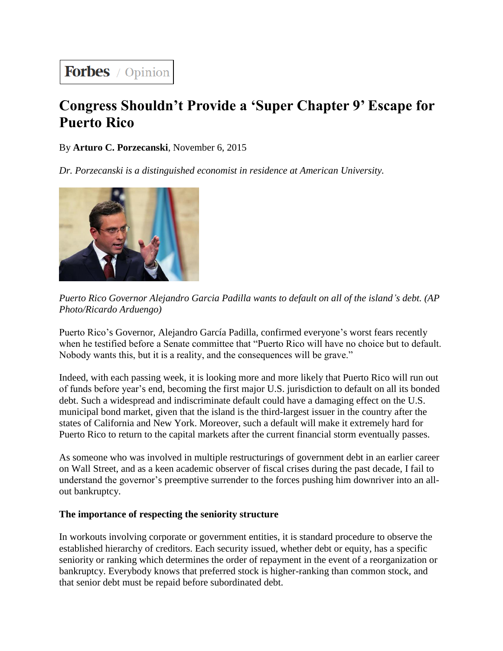## Forbes / Opinion

## **Congress Shouldn't Provide a 'Super Chapter 9' Escape for Puerto Rico**

By **Arturo C. Porzecanski**, November 6, 2015

*Dr. Porzecanski is a distinguished economist in residence at American University.*



*Puerto Rico Governor Alejandro Garcia Padilla wants to default on all of the island's debt. (AP Photo/Ricardo Arduengo)*

Puerto Rico's Governor, Alejandro García Padilla, confirmed everyone's worst fears recently when he testified before a Senate committee that "Puerto Rico will have no choice but to default. Nobody wants this, but it is a reality, and the consequences will be grave."

Indeed, with each passing week, it is looking more and more likely that Puerto Rico will run out of funds before year's end, becoming the first major U.S. jurisdiction to default on all its bonded debt. Such a widespread and indiscriminate default could have a damaging effect on the U.S. municipal bond market, given that the island is the third-largest issuer in the country after the states of California and New York. Moreover, such a default will make it extremely hard for Puerto Rico to return to the capital markets after the current financial storm eventually passes.

As someone who was involved in multiple restructurings of government debt in an earlier career on Wall Street, and as a keen academic observer of fiscal crises during the past decade, I fail to understand the governor's preemptive surrender to the forces pushing him downriver into an allout bankruptcy.

## **The importance of respecting the seniority structure**

In workouts involving corporate or government entities, it is standard procedure to observe the established hierarchy of creditors. Each security issued, whether debt or equity, has a specific seniority or ranking which determines the order of repayment in the event of a reorganization or bankruptcy. Everybody knows that preferred stock is higher-ranking than common stock, and that senior debt must be repaid before subordinated debt.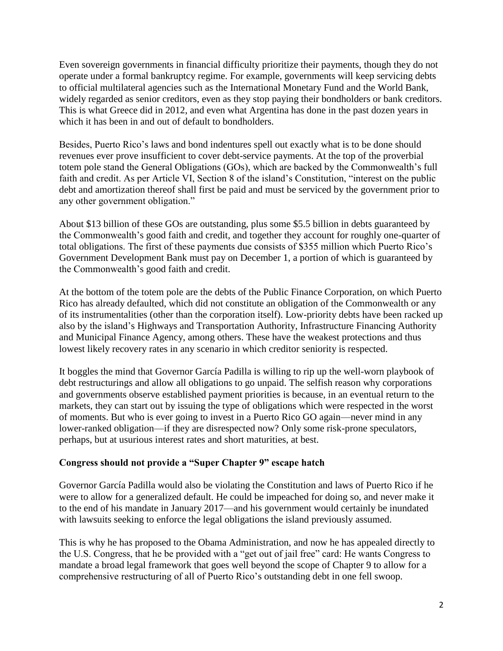Even sovereign governments in financial difficulty prioritize their payments, though they do not operate under a formal bankruptcy regime. For example, governments will keep servicing debts to official multilateral agencies such as the International Monetary Fund and the World Bank, widely regarded as senior creditors, even as they stop paying their bondholders or bank creditors. This is what Greece did in 2012, and even what Argentina has done in the past dozen years in which it has been in and out of default to bondholders.

Besides, Puerto Rico's laws and bond indentures spell out exactly what is to be done should revenues ever prove insufficient to cover debt-service payments. At the top of the proverbial totem pole stand the General Obligations (GOs), which are backed by the Commonwealth's full faith and credit. As per Article VI, Section 8 of the island's Constitution, "interest on the public debt and amortization thereof shall first be paid and must be serviced by the government prior to any other government obligation."

About \$13 billion of these GOs are outstanding, plus some \$5.5 billion in debts guaranteed by the Commonwealth's good faith and credit, and together they account for roughly one-quarter of total obligations. The first of these payments due consists of \$355 million which Puerto Rico's Government Development Bank must pay on December 1, a portion of which is guaranteed by the Commonwealth's good faith and credit.

At the bottom of the totem pole are the debts of the Public Finance Corporation, on which Puerto Rico has already defaulted, which did not constitute an obligation of the Commonwealth or any of its instrumentalities (other than the corporation itself). Low-priority debts have been racked up also by the island's Highways and Transportation Authority, Infrastructure Financing Authority and Municipal Finance Agency, among others. These have the weakest protections and thus lowest likely recovery rates in any scenario in which creditor seniority is respected.

It boggles the mind that Governor García Padilla is willing to rip up the well-worn playbook of debt restructurings and allow all obligations to go unpaid. The selfish reason why corporations and governments observe established payment priorities is because, in an eventual return to the markets, they can start out by issuing the type of obligations which were respected in the worst of moments. But who is ever going to invest in a Puerto Rico GO again—never mind in any lower-ranked obligation—if they are disrespected now? Only some risk-prone speculators, perhaps, but at usurious interest rates and short maturities, at best.

## **Congress should not provide a "Super Chapter 9" escape hatch**

Governor García Padilla would also be violating the Constitution and laws of Puerto Rico if he were to allow for a generalized default. He could be impeached for doing so, and never make it to the end of his mandate in January 2017—and his government would certainly be inundated with lawsuits seeking to enforce the legal obligations the island previously assumed.

This is why he has proposed to the Obama Administration, and now he has appealed directly to the U.S. Congress, that he be provided with a "get out of jail free" card: He wants Congress to mandate a broad legal framework that goes well beyond the scope of Chapter 9 to allow for a comprehensive restructuring of all of Puerto Rico's outstanding debt in one fell swoop.